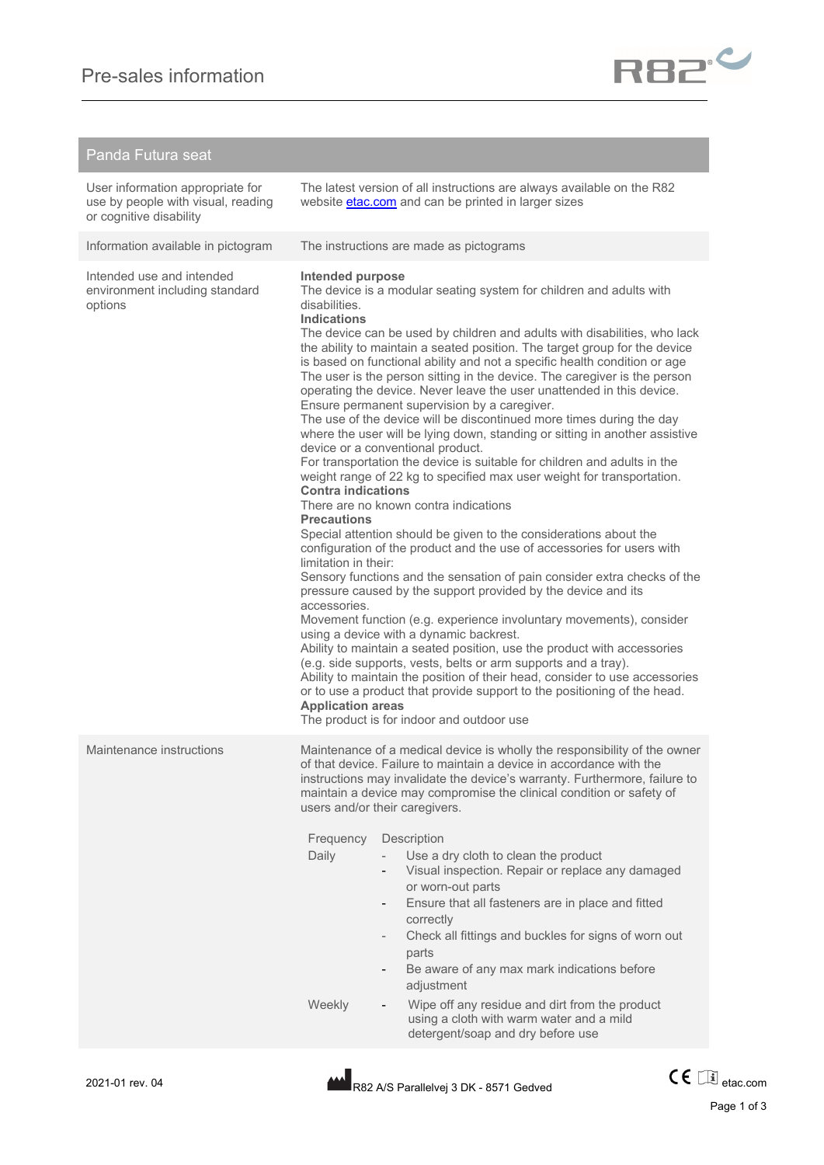

## Panda Futura seat

| User information appropriate for<br>use by people with visual, reading<br>or cognitive disability |                                                                                                                                                                                | The latest version of all instructions are always available on the R82<br>website <b>etac.com</b> and can be printed in larger sizes                                                                                                                                                                                                                                                                                                                                                                                                                                                                                                                                                                                                                                                                                                                                                                                                                                                                                                                                                                                                                                                                                                                                                                                                                                                                                                                                                                                                                                                                                                                                            |
|---------------------------------------------------------------------------------------------------|--------------------------------------------------------------------------------------------------------------------------------------------------------------------------------|---------------------------------------------------------------------------------------------------------------------------------------------------------------------------------------------------------------------------------------------------------------------------------------------------------------------------------------------------------------------------------------------------------------------------------------------------------------------------------------------------------------------------------------------------------------------------------------------------------------------------------------------------------------------------------------------------------------------------------------------------------------------------------------------------------------------------------------------------------------------------------------------------------------------------------------------------------------------------------------------------------------------------------------------------------------------------------------------------------------------------------------------------------------------------------------------------------------------------------------------------------------------------------------------------------------------------------------------------------------------------------------------------------------------------------------------------------------------------------------------------------------------------------------------------------------------------------------------------------------------------------------------------------------------------------|
| Information available in pictogram                                                                |                                                                                                                                                                                | The instructions are made as pictograms                                                                                                                                                                                                                                                                                                                                                                                                                                                                                                                                                                                                                                                                                                                                                                                                                                                                                                                                                                                                                                                                                                                                                                                                                                                                                                                                                                                                                                                                                                                                                                                                                                         |
| Intended use and intended<br>environment including standard<br>options                            | Intended purpose<br>disabilities.<br><b>Indications</b><br><b>Contra indications</b><br><b>Precautions</b><br>limitation in their:<br>accessories.<br><b>Application areas</b> | The device is a modular seating system for children and adults with<br>The device can be used by children and adults with disabilities, who lack<br>the ability to maintain a seated position. The target group for the device<br>is based on functional ability and not a specific health condition or age<br>The user is the person sitting in the device. The caregiver is the person<br>operating the device. Never leave the user unattended in this device.<br>Ensure permanent supervision by a caregiver.<br>The use of the device will be discontinued more times during the day<br>where the user will be lying down, standing or sitting in another assistive<br>device or a conventional product.<br>For transportation the device is suitable for children and adults in the<br>weight range of 22 kg to specified max user weight for transportation.<br>There are no known contra indications<br>Special attention should be given to the considerations about the<br>configuration of the product and the use of accessories for users with<br>Sensory functions and the sensation of pain consider extra checks of the<br>pressure caused by the support provided by the device and its<br>Movement function (e.g. experience involuntary movements), consider<br>using a device with a dynamic backrest.<br>Ability to maintain a seated position, use the product with accessories<br>(e.g. side supports, vests, belts or arm supports and a tray).<br>Ability to maintain the position of their head, consider to use accessories<br>or to use a product that provide support to the positioning of the head.<br>The product is for indoor and outdoor use |
| Maintenance instructions                                                                          | Frequency<br>Daily<br>Weekly                                                                                                                                                   | Maintenance of a medical device is wholly the responsibility of the owner<br>of that device. Failure to maintain a device in accordance with the<br>instructions may invalidate the device's warranty. Furthermore, failure to<br>maintain a device may compromise the clinical condition or safety of<br>users and/or their caregivers.<br>Description<br>Use a dry cloth to clean the product<br>Visual inspection. Repair or replace any damaged<br>or worn-out parts<br>Ensure that all fasteners are in place and fitted<br>correctly<br>Check all fittings and buckles for signs of worn out<br>$\overline{\phantom{0}}$<br>parts<br>Be aware of any max mark indications before<br>adjustment<br>Wipe off any residue and dirt from the product<br>using a cloth with warm water and a mild<br>detergent/soap and dry before use                                                                                                                                                                                                                                                                                                                                                                                                                                                                                                                                                                                                                                                                                                                                                                                                                                         |

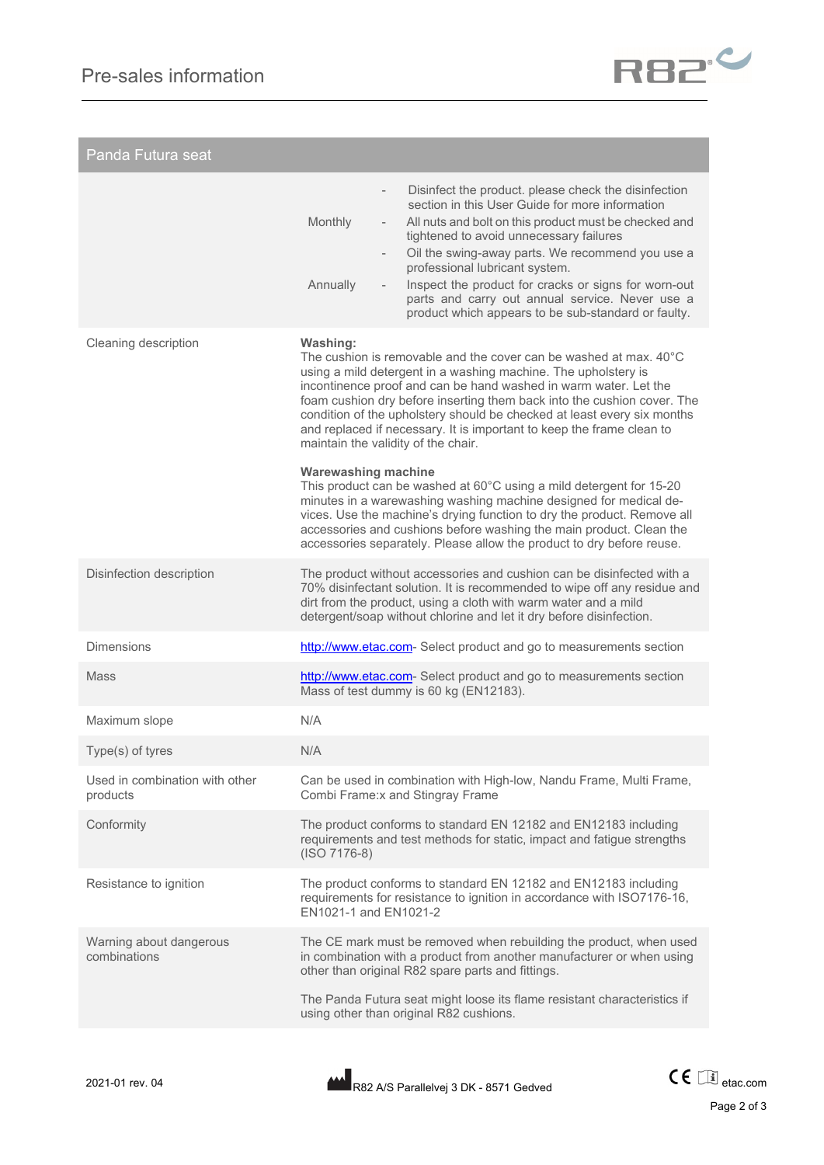

| Panda Futura seat                          |                                                                                                                                                                                                                                                                                                                                                                                                                                                                                                                                                                                                                                                                                                                                                                                                                                                                                                          |  |
|--------------------------------------------|----------------------------------------------------------------------------------------------------------------------------------------------------------------------------------------------------------------------------------------------------------------------------------------------------------------------------------------------------------------------------------------------------------------------------------------------------------------------------------------------------------------------------------------------------------------------------------------------------------------------------------------------------------------------------------------------------------------------------------------------------------------------------------------------------------------------------------------------------------------------------------------------------------|--|
|                                            | Disinfect the product. please check the disinfection<br>$\overline{\phantom{a}}$<br>section in this User Guide for more information<br>All nuts and bolt on this product must be checked and<br>Monthly<br>$\overline{\phantom{a}}$<br>tightened to avoid unnecessary failures<br>Oil the swing-away parts. We recommend you use a<br>$\overline{\phantom{a}}$<br>professional lubricant system.<br>Inspect the product for cracks or signs for worn-out<br>Annually<br>parts and carry out annual service. Never use a<br>product which appears to be sub-standard or faulty.                                                                                                                                                                                                                                                                                                                           |  |
| Cleaning description                       | Washing:<br>The cushion is removable and the cover can be washed at max, $40^{\circ}$ C<br>using a mild detergent in a washing machine. The upholstery is<br>incontinence proof and can be hand washed in warm water. Let the<br>foam cushion dry before inserting them back into the cushion cover. The<br>condition of the upholstery should be checked at least every six months<br>and replaced if necessary. It is important to keep the frame clean to<br>maintain the validity of the chair.<br><b>Warewashing machine</b><br>This product can be washed at 60°C using a mild detergent for 15-20<br>minutes in a warewashing washing machine designed for medical de-<br>vices. Use the machine's drying function to dry the product. Remove all<br>accessories and cushions before washing the main product. Clean the<br>accessories separately. Please allow the product to dry before reuse. |  |
| Disinfection description                   | The product without accessories and cushion can be disinfected with a<br>70% disinfectant solution. It is recommended to wipe off any residue and<br>dirt from the product, using a cloth with warm water and a mild<br>detergent/soap without chlorine and let it dry before disinfection.                                                                                                                                                                                                                                                                                                                                                                                                                                                                                                                                                                                                              |  |
| <b>Dimensions</b>                          | http://www.etac.com-Select product and go to measurements section                                                                                                                                                                                                                                                                                                                                                                                                                                                                                                                                                                                                                                                                                                                                                                                                                                        |  |
| Mass                                       | http://www.etac.com-Select product and go to measurements section<br>Mass of test dummy is 60 kg (EN12183).                                                                                                                                                                                                                                                                                                                                                                                                                                                                                                                                                                                                                                                                                                                                                                                              |  |
| Maximum slope                              | N/A                                                                                                                                                                                                                                                                                                                                                                                                                                                                                                                                                                                                                                                                                                                                                                                                                                                                                                      |  |
| Type(s) of tyres                           | N/A                                                                                                                                                                                                                                                                                                                                                                                                                                                                                                                                                                                                                                                                                                                                                                                                                                                                                                      |  |
| Used in combination with other<br>products | Can be used in combination with High-low, Nandu Frame, Multi Frame,<br>Combi Frame: x and Stingray Frame                                                                                                                                                                                                                                                                                                                                                                                                                                                                                                                                                                                                                                                                                                                                                                                                 |  |
| Conformity                                 | The product conforms to standard EN 12182 and EN12183 including<br>requirements and test methods for static, impact and fatigue strengths<br>$(ISO 7176-8)$                                                                                                                                                                                                                                                                                                                                                                                                                                                                                                                                                                                                                                                                                                                                              |  |
| Resistance to ignition                     | The product conforms to standard EN 12182 and EN12183 including<br>requirements for resistance to ignition in accordance with ISO7176-16,<br>FN1021-1 and FN1021-2                                                                                                                                                                                                                                                                                                                                                                                                                                                                                                                                                                                                                                                                                                                                       |  |
| Warning about dangerous<br>combinations    | The CE mark must be removed when rebuilding the product, when used<br>in combination with a product from another manufacturer or when using<br>other than original R82 spare parts and fittings.<br>The Panda Futura seat might loose its flame resistant characteristics if<br>using other than original R82 cushions.                                                                                                                                                                                                                                                                                                                                                                                                                                                                                                                                                                                  |  |